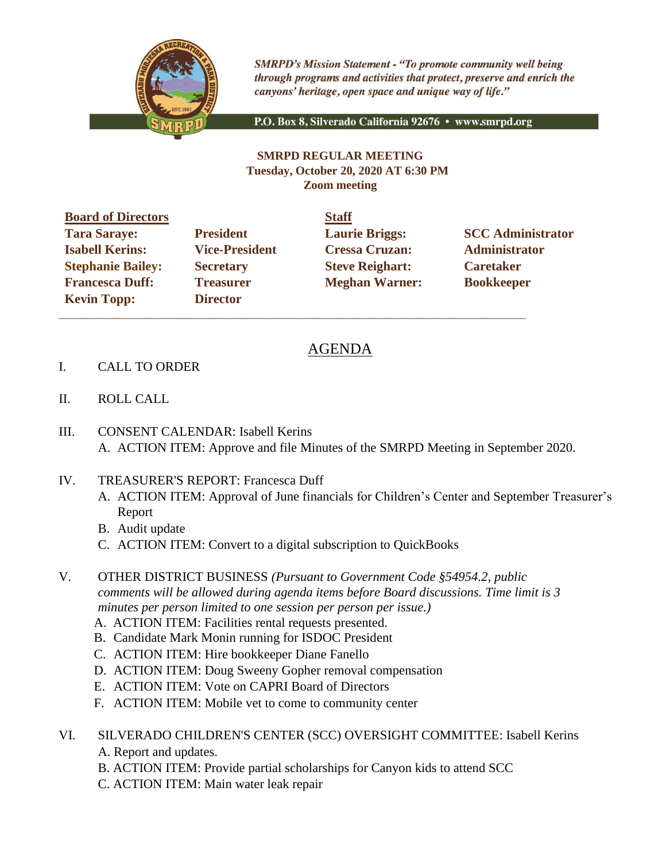

**SMRPD's Mission Statement - "To promote community well being** through programs and activities that protect, preserve and enrich the canyons' heritage, open space and unique way of life."

P.O. Box 8, Silverado California 92676 · www.smrpd.org

## **SMRPD REGULAR MEETING Tuesday, October 20, 2020 AT 6:30 PM Zoom meeting**

**Board of Directors Staff Tara Saraye: President Laurie Briggs: SCC Administrator Isabell Kerins: Vice-President Cressa Cruzan: Administrator Stephanie Bailey: Secretary Steve Reighart: Caretaker Francesca Duff:** Treasurer **Meghan Warner:** Bookkeeper **Kevin Topp: Director** 

 $\_$  ,  $\_$  ,  $\_$  ,  $\_$  ,  $\_$  ,  $\_$  ,  $\_$  ,  $\_$  ,  $\_$  ,  $\_$  ,  $\_$  ,  $\_$  ,  $\_$  ,  $\_$  ,  $\_$  ,  $\_$  ,  $\_$  ,  $\_$  ,  $\_$  ,  $\_$  ,  $\_$  ,  $\_$  ,  $\_$  ,  $\_$  ,  $\_$  ,  $\_$  ,  $\_$  ,  $\_$  ,  $\_$  ,  $\_$  ,  $\_$  ,  $\_$  ,  $\_$  ,  $\_$  ,  $\_$  ,  $\_$  ,  $\_$  ,

## AGENDA

- I. CALL TO ORDER
- II. ROLL CALL
- III. CONSENT CALENDAR: Isabell Kerins A. ACTION ITEM: Approve and file Minutes of the SMRPD Meeting in September 2020.
- IV. TREASURER'S REPORT: Francesca Duff
	- A. ACTION ITEM: Approval of June financials for Children's Center and September Treasurer's Report
	- B. Audit update
	- C. ACTION ITEM: Convert to a digital subscription to QuickBooks
- V. OTHER DISTRICT BUSINESS *(Pursuant to Government Code §54954.2, public comments will be allowed during agenda items before Board discussions. Time limit is 3 minutes per person limited to one session per person per issue.)*
	- A. ACTION ITEM: Facilities rental requests presented.
	- B. Candidate Mark Monin running for ISDOC President
	- C. ACTION ITEM: Hire bookkeeper Diane Fanello
	- D. ACTION ITEM: Doug Sweeny Gopher removal compensation
	- E. ACTION ITEM: Vote on CAPRI Board of Directors
	- F. ACTION ITEM: Mobile vet to come to community center
- VI. SILVERADO CHILDREN'S CENTER (SCC) OVERSIGHT COMMITTEE: Isabell Kerins A. Report and updates.
	- B. ACTION ITEM: Provide partial scholarships for Canyon kids to attend SCC
	- C. ACTION ITEM: Main water leak repair